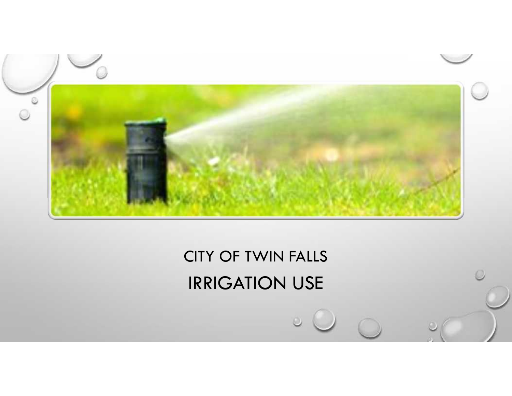

# CITY OF TWIN FALLS IRRIGATION USE

 $\circ$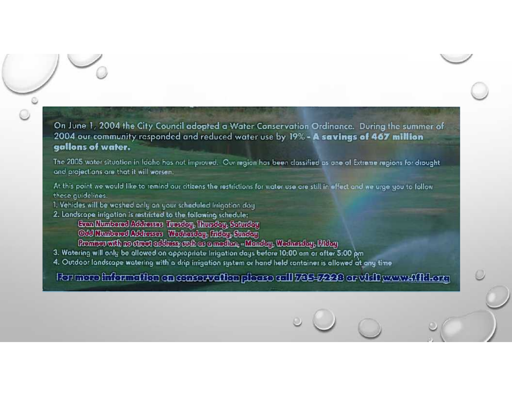On June 1, 2004 the City Council adopted a Water Conservation Ordinance. During the summer of 2004 our community responded and reduced water use by 19% - A savings of 467 million gallons of water.

The 2005 water situation in Idaho has not improved. Our region has been classified as one of Extreme regions for drought and projections are that it will warsen.

At this point we would like to remind our citizens the restrictions for water use are still in effect and we urge you to follow these guidelines.

1. Vehicles will be washed only on your scheduled irrination day

2. Landscape irrigation is restricted to the following schedule:

Green Numbered Addresses Trustey, Thurstey, Setunday

Odd Hundersd Addresse Wednesday, Rider, Sunday

from so with as since address with as a median - Manden, Wednesden, Miden

3. Watering will only be allowed on appropriate Irrigation days before 10:00 am or after 5:00 pm

4. Outdoor landscape watering with a drip irrigation system or hand held container is allowed at any time

For more information on conservation please call 738-17228 or with www.withirra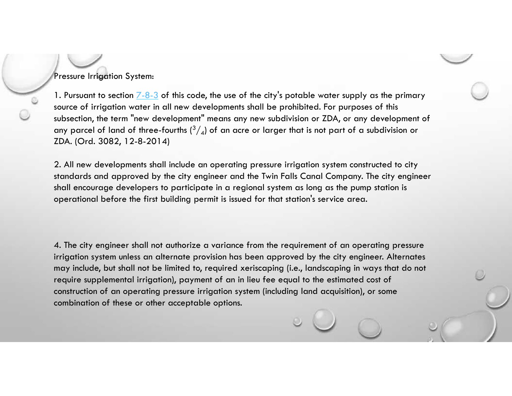#### Pressure Irrigation System:

1. Pursuant to section 7-8-3 of this code, the use of the city's potable water supply as the primary source of irrigation water in all new developments shall be prohibited. For purposes of this subsection, the term "new development" means any new subdivision or ZDA, or any development of any parcel of land of three-fourths ( $^3/\!$  ) of an acre or larger that is not part of a subdivision or  $\,$ ZDA. (Ord. 3082, 12-8-2014)

2. All new developments shall include an operating pressure irrigation system constructed to city standards and approved by the city engineer and the Twin Falls Canal Company. The city engineer shall encourage developers to participate in a regional system as long as the pump station is operational before the first building permit is issued for that station's service area.

4. The city engineer shall not authorize a variance from the requirement of an operating pressure irrigation system unless an alternate provision has been approved by the city engineer. Alternates may include, but shall not be limited to, required xeriscaping (i.e., landscaping in ways that do not require supplemental irrigation), payment of an in lieu fee equal to the estimated cost of construction of an operating pressure irrigation system (including land acquisition), or some combination of these or other acceptable options.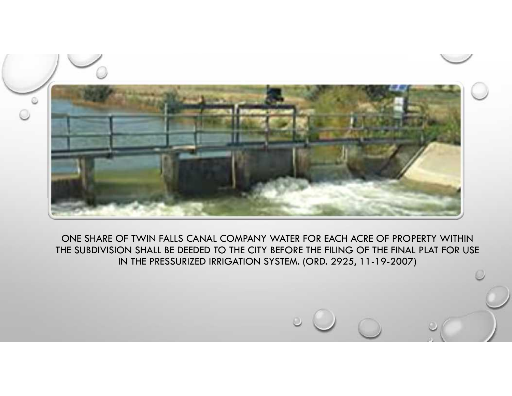

ONE SHARE OF TWIN FALLS CANAL COMPANY WATER FOR EACH ACRE OF PROPERTY WITHIN THE SUBDIVISION SHALL BE DEEDED TO THE CITY BEFORE THE FILING OF THE FINAL PLAT FOR USE IN THE PRESSURIZED IRRIGATION SYSTEM. (ORD. 2925, 11-19-2007)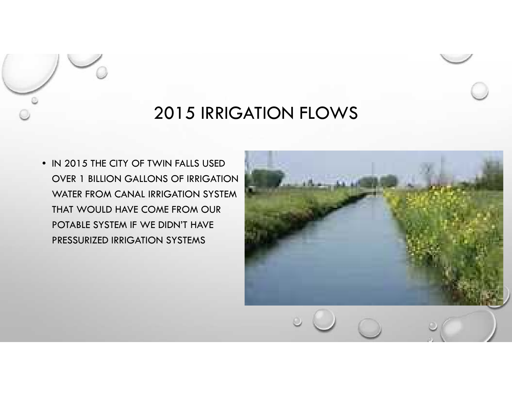### 2015 IRRIGATION FLOWS

• IN 2015 THE CITY OF TWIN FALLS USED OVER 1 BILLION GALLONS OF IRRIGATION WATER FROM CANAL IRRIGATION SYSTEM THAT WOULD HAVE COME FROM OUR POTABLE SYSTEM IF WE DIDN'T HAVE PRESSURIZED IRRIGATION SYSTEMS

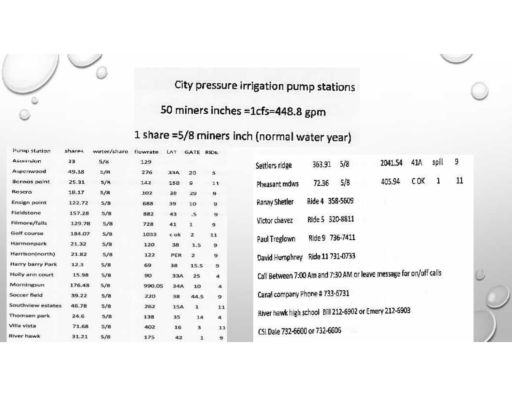

#### City pressure irrigation pump stations

### 50 miners inches =1cfs=448.8 gpm

### 1 share =5/8 miners inch (normal water year)

| Punip station.      | snares | water/share | tiowrate | <b>LAT</b> | <b>GATE RIDE</b>        |                |                                                                    |
|---------------------|--------|-------------|----------|------------|-------------------------|----------------|--------------------------------------------------------------------|
| <b>Ascerision</b>   | 23     | 5/8         | 129      |            |                         |                | 9<br>spill<br>41A<br>2041.54<br>5/8<br>363.91<br>Settlers ridge    |
| Aspenwood           | 49.18  | 5/R         | 276      | 33A        | 20                      | 5              |                                                                    |
| <b>Bennos point</b> | 25.31  | 5/8         | 142      | <b>15B</b> | 9                       | 3.3            | 11<br>1<br><b>COK</b><br>405.94<br>5/8<br>72.36<br>Pheasant mdws   |
| Rosero              | 18.17  | 5/8         | 102      | 38         | 29                      | ø              |                                                                    |
| Ensign point        | 122.72 | 5/8         | 688      | 39         | 10                      | 9              | Ride 4 358-5609<br><b>Ranay Shetler</b>                            |
| Fieldstone          | 157.28 | 5/8         | 882      | 43         | .5                      | 9              |                                                                    |
| Filmore/falls       | 129.78 | 5/8         | 728      | 41         | 1                       | 9              | Ride 5 320-8811<br>Victor chavez                                   |
| Golf course         | 184.07 | 5/8         | 1033     | c ok       | $\overline{2}$          | 11             | Ride 9 736-7411                                                    |
| Harmonpark          | 21.32  | 5/8         | 120      | 38         | 1.5                     | 9              | Paul Treglown                                                      |
| Harrison(north)     | 21.82  | 5/8         | 122      | PER        | $\overline{\mathbf{z}}$ | э              | David Humphrey Ride 11 731-0733                                    |
| Harry barry Park    | 12.3   | 5/8         | 69       | 38         | 15.5                    | 9              |                                                                    |
| Holly ann court     | 15.98  | 5/8         | 90       | AEE        | 25                      | 4              | Call Between 7:00 Am and 7:30 AM or leave message for on/off calls |
| Morningsun          | 176.48 | 5/8         | 990.05   | 34A        | 10                      | $\overline{a}$ |                                                                    |
| Soccer field        | 39.22  | 5/8         | 220      | 38         | 44.5                    | 9              | Canal company Phone # 733-6731                                     |
| Southview estates   | 46.78  | 5/8         | 262      | 15A        | $\mathbf{1}$            | 11             |                                                                    |
| Thomsen park        | 24.6   | 5/8         | 138      | 35         | 14                      | 4              | River hawk high school Bill 212-6902 or Emery 212-6903             |
| Villa vista         | 71.68  | 5/8         | 402      | 16         | з                       | 11             | CSI Dale 732-6600 or 732-6606                                      |
| River hawk          | 31.21  | 5/8         | 175      | 42         |                         | 1<br>9         |                                                                    |
|                     |        |             |          |            |                         |                |                                                                    |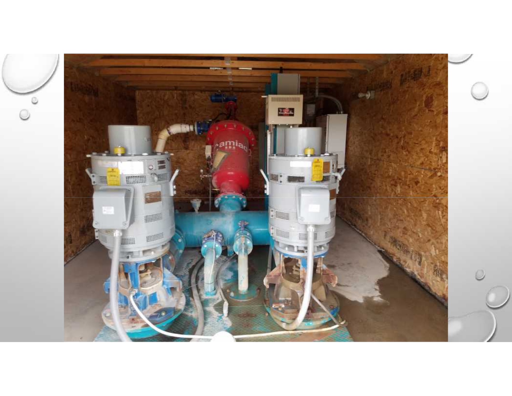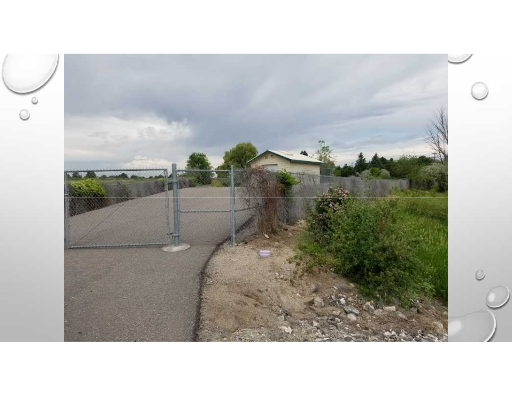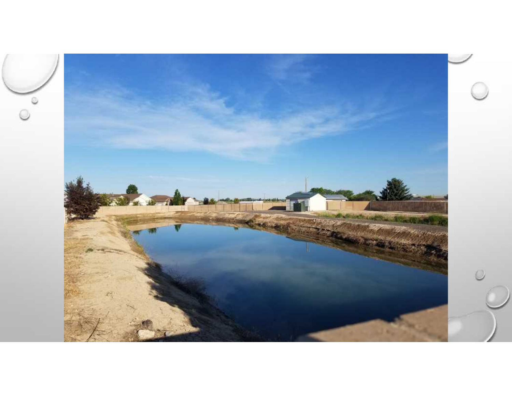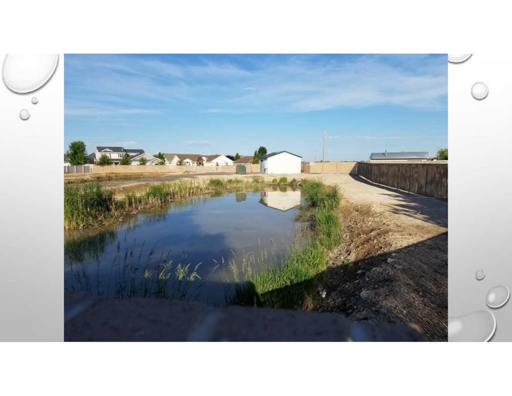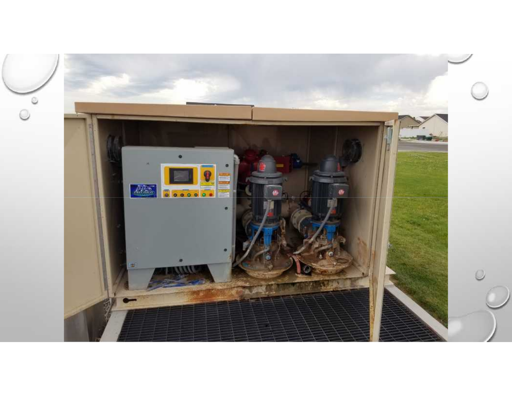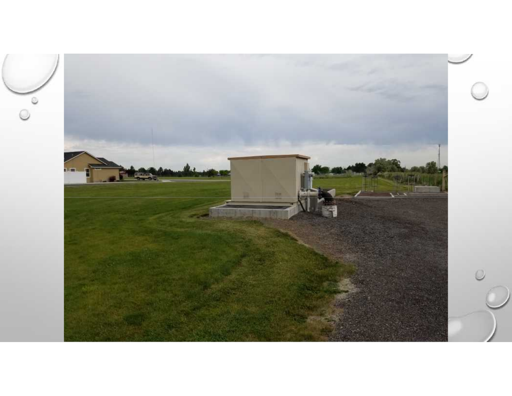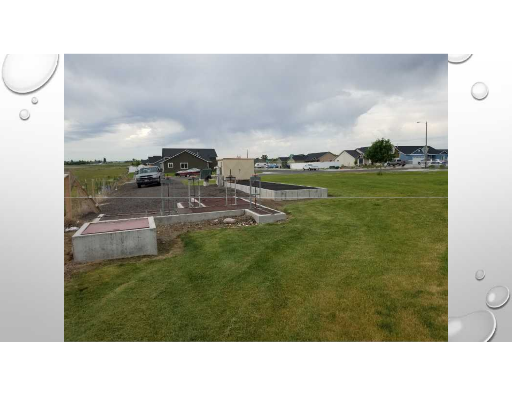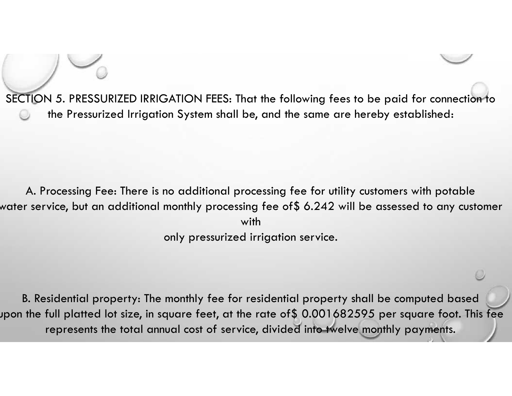SECTION 5. PRESSURIZED IRRIGATION FEES: That the following fees to be paid for connection to SECTION 5. PRESSURIZED IRRIGATION FEES: That the following fees to be paid for connection tothe Pressurized Irrigation System shall be, and the same are hereby established:

A. Processing Fee: There is no additional processing fee for utility customers with potable water service, but an additional monthly processing fee of\$ 6.242 will be assessed to any customer with only pressurized irrigation service.

B. Residential property: The monthly fee for residential property shall be computed based upon the full platted lot size, in square feet, at the rate of\$ 0.001682595 per square foot. This fee represents the total annual cost of service, divided into twelve monthly payments.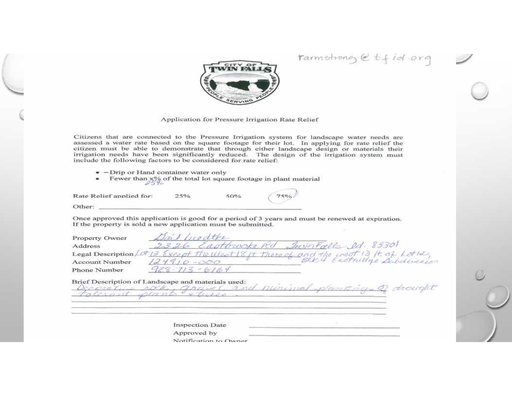

rarmotiong & tfid.org

Application for Pressure Irrigation Rate Relief

Citizens that are connected to the Pressure Irrigation system for landscape water needs are assessed a water rate based on the square footage for their lot. In applying for rate relief the citizen must be able to demonstrate that through cither landscape design or materials their irrigation needs have been significantly reduced. The design of the irrigation system must include the following factors to be considered for rate relief:

- - Drip or Hand container water only
- ٠ Fewer than  $x\frac{9}{6}$  of the total lot square footage in plant material  $2540$

| Rate Relief applied for: | 25% | 50% | 75% |
|--------------------------|-----|-----|-----|
| Other:                   |     |     |     |

Once approved this application is good for a period of 3 years and must be renewed at expiration. If the property is sold a new application must be submitted.

| Property Owner | Dail wedthe                                                                                                             |  |
|----------------|-------------------------------------------------------------------------------------------------------------------------|--|
| Address        | 2326 Eastbrooke Rd JurinFalls Dd. 83301                                                                                 |  |
|                | Legal Description $10f$ 13 Except the Ulest 18 if there of and the west 13 it, of $1d/2$ ,<br>Account Number 124910-000 |  |
| Account Number |                                                                                                                         |  |
| Phone Number   | $928 - 713 - 6164$                                                                                                      |  |
|                |                                                                                                                         |  |

| Brief Description of Landscape and materials used: |  |
|----------------------------------------------------|--|
|                                                    |  |
|                                                    |  |
|                                                    |  |
|                                                    |  |

**Inspection Date** 

Approved by

Notification to Owner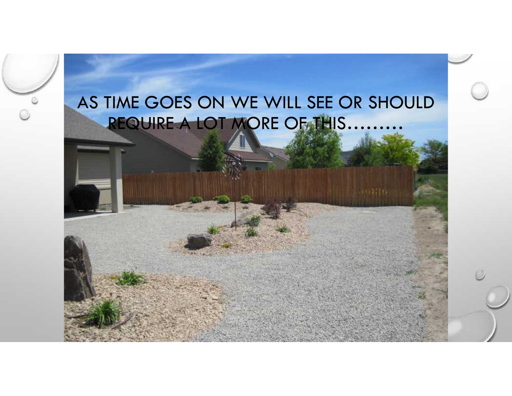## AS TIME GOES ON WE WILL SEE OR SHOULD REQUIRE A LOT MORE OF THIS..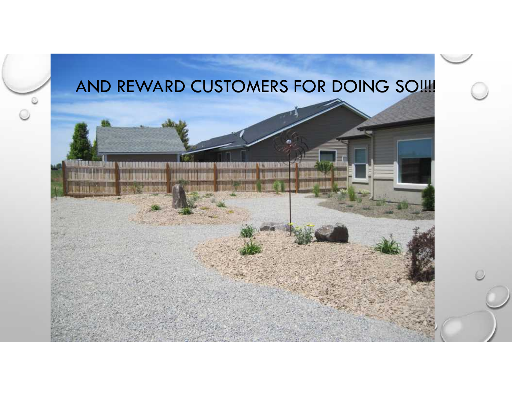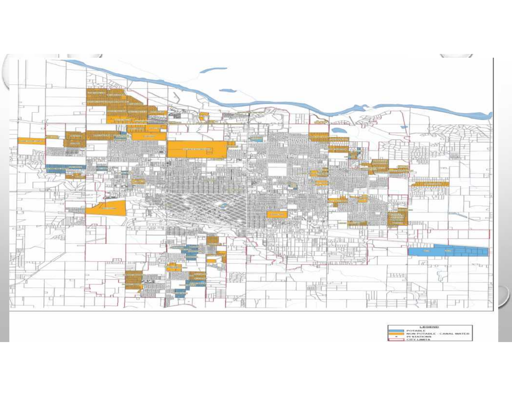

| <b>LEGENDER</b>             |
|-----------------------------|
| <b><i>POTABLE</i></b>       |
| <b>INCIN FICITABLE - C.</b> |
| <b><i>PT SEATH)NEW</i></b>  |
|                             |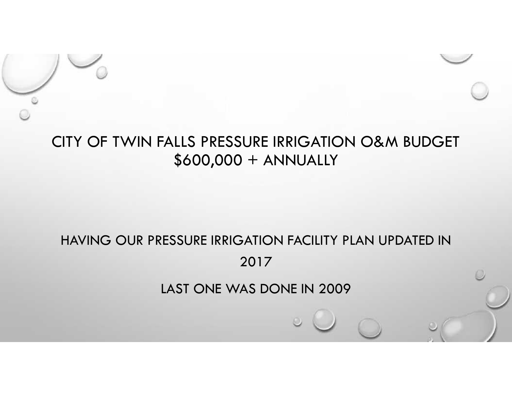

### CITY OF TWIN FALLS PRESSURE IRRIGATION O&M BUDGET \$600,000 + ANNUALLY

### HAVING OUR PRESSURE IRRIGATION FACILITY PLAN UPDATED IN 2017

#### LAST ONE WAS DONE IN 2009